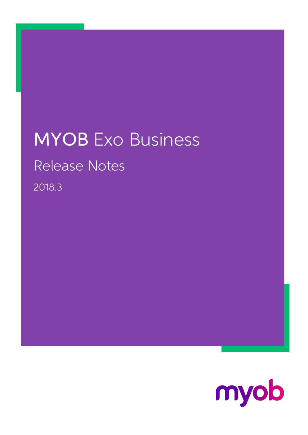# MYOB Exo Business Release Notes 2018.3

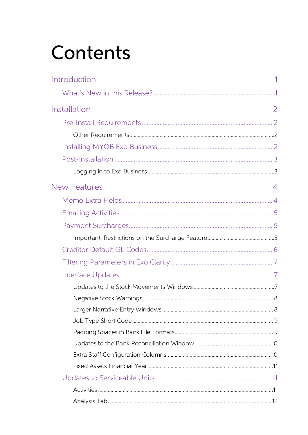# Contents

| Introduction        |   |
|---------------------|---|
|                     |   |
| Installation        | 2 |
|                     |   |
|                     |   |
|                     |   |
|                     |   |
|                     |   |
| <b>New Features</b> | 4 |
|                     |   |
|                     |   |
|                     |   |
|                     |   |
|                     |   |
|                     |   |
|                     |   |
|                     |   |
|                     |   |
|                     |   |
|                     |   |
|                     |   |
|                     |   |
|                     |   |
|                     |   |
|                     |   |
|                     |   |
|                     |   |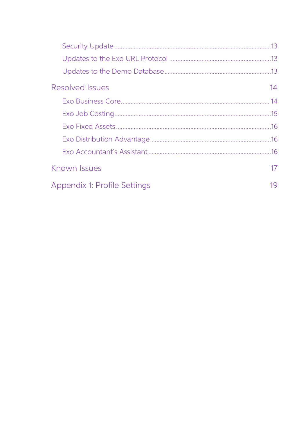| <b>Resolved Issues</b>       | 14 |
|------------------------------|----|
|                              |    |
|                              |    |
|                              |    |
|                              |    |
|                              |    |
| Known Issues                 | 17 |
| Appendix 1: Profile Settings | 19 |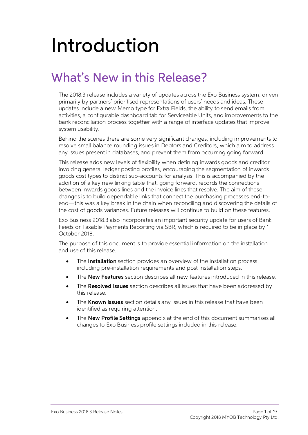# <span id="page-3-0"></span>Introduction

# <span id="page-3-1"></span>What's New in this Release?

The 2018.3 release includes a variety of updates across the Exo Business system, driven primarily by partners' prioritised representations of users' needs and ideas. These updates include a new Memo type for Extra Fields, the ability to send emails from<br>activities, a configurable dashboard tab for Serviceable Units, and improvements to the<br>bank reconciliation process together with a range of

Behind the scenes there are some very significant changes, including improvements to resolve small balance rounding issues in Debtors and Creditors, which aim to address any issues present in databases, and prevent them fr

This release adds new levels of flexibility when defining inwards goods and creditor invoicing general ledger posting profiles, encouraging the segmentation of inwards goods cost types to distinct sub-accounts for analysis end—this was a key break in the chain when reconciling and discovering the details of the cost of goods variances. Future releases will continue to build on these features.

Exo Business 2018.3 also incorporates an important security update for users of Bank Feeds or Taxable Payments Reporting via SBR, which is required to be in place by 1 October 2018.

The purpose of this document is to provide essential information on the installation and use of this release:

- The **Installation** section provides an overview of the installation process, including pre-installation requirements and post installation steps.
- The **New Features** section describes all new features introduced in this release.
- The **Resolved Issues** section describes all issues that have been addressed by this release.
- The **Known Issues** section details any issues in this release that have been identified as requiring attention.
- The **New Profile Settings** appendix at the end of this document summarises all changes to Exo Business profile settings included in this release.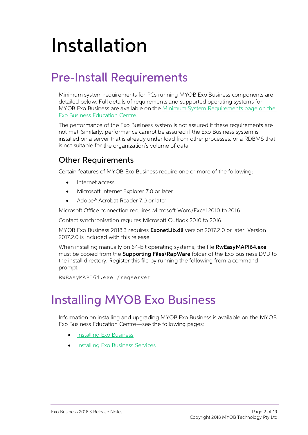# <span id="page-4-0"></span>Installation

## <span id="page-4-1"></span>Pre-Install Requirements

Minimum system requirements for PCs running MYOB Exo Business components are detailed below. Full details of requirements and supported operating systems for MYOB Exo Business are available on the <u>Minimum System Requireme</u>

The performance of the Exo Business system is not assured if these requirements are<br>not met. Similarly, performance cannot be assured if the Exo Business system is<br>installed on a server that is already under load from othe

### <span id="page-4-2"></span>Other Requirements

Certain features of MYOB Exo Business require one or more of the following:

- Internet access
- Microsoft Internet Explorer 7.0 or later
- Adobe® Acrobat Reader 7.0 or later

Microsoft Office connection requires Microsoft Word/Excel 2010 to 2016.

Contact synchronisation requires Microsoft Outlook 2010 to 2016.

MYOB Exo Business 2018.3 requires **ExonetLib.dll** version 2017.2.0 or later. Version 2017.2.0 is included with this release.

When installing manually on 64-bit operating systems, the file **RwEasyMAPI64.exe** must be copied from the **Supporting Files\RapWare** folder of the Exo Business DVD to the install directory. Register this file by running the following from a command prompt:

RwEasyMAPI64.exe /regserver

## <span id="page-4-3"></span>Installing MYOB Exo Business

Information on installing and upgrading MYOB Exo Business is available on the MYOB Exo Business Education Centre see the following pages:

- [Installing Exo Business](http://help.myob.com.au/exo/installexobusiness.htm)
- [Installing Exo Business Services](http://help.myob.com.au/exo/installexobusinessservices.htm)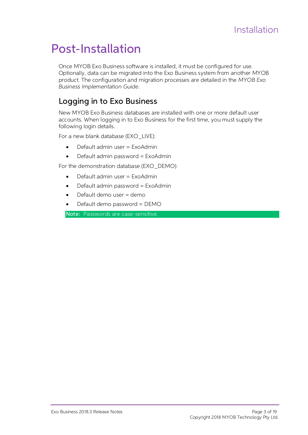## <span id="page-5-0"></span>Post-Installation

Once MYOB Exo Business software is installed, it must be configured for use.<br>Optionally, data can be migrated into the Exo Business system from another MYOB<br>product. The configuration and migration processes are detailed i Business Implementation Guide.

#### <span id="page-5-1"></span>Logging in to Exo Business

New MYOB Exo Business databases are installed with one or more default user accounts. When logging in to Exo Business for the first time, you must supply the following login details.

For a new blank database (EXO\_LIVE):

- $\bullet$  Default admin user = ExoAdmin
- $\bullet$  Default admin password = ExoAdmin

For the demonstration database (EXO\_DEMO):

- Default admin user = ExoAdmin
- Default admin password = ExoAdmin
- Default demo user = demo
- Default demo password = DEMO

Note: Passwords are case-sensitive.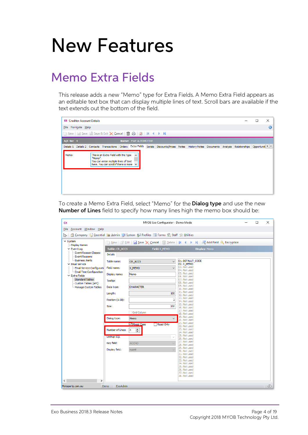## <span id="page-6-1"></span><span id="page-6-0"></span>Memo Extra Fields

This release adds a new "Memo" type for Extra Fields. A Memo Extra Field appears as an editable text box that can display multiple lines of text. Scroll bars are available if the text extends out the bottom of the field.



To create a Memo Extra Field, select "Memo" for the **Dialog type** and use the new Number of Lines field to specify how many lines high the memo box should be:

| CX                                                  |                  | MYOB Exo Configurator - Demo Mode                                                                                                                                                                                                                                                                                                                                     |                                |               | □ | $\times$ |
|-----------------------------------------------------|------------------|-----------------------------------------------------------------------------------------------------------------------------------------------------------------------------------------------------------------------------------------------------------------------------------------------------------------------------------------------------------------------|--------------------------------|---------------|---|----------|
| File Account Window Help                            |                  |                                                                                                                                                                                                                                                                                                                                                                       |                                |               |   |          |
| Ľ۳.                                                 |                  | Company \ Essential <a> B<br/> <u>Admin <a> J<br/>System <a> B<br/>Profiles <a> Examps <a> Staff <a> <a> <a> Y</a> Litties <a> <a> <a< a=""> <a> <a> <a> Company <a> <a> <a> <a< a=""> <a< a=""> Litties <a> <a< a=""> <a> <a< a=""> <a< a=""> <a<< u=""></a<<></a<></a<></a></a<></a></a<></a<></a></a></a></a></a></a></a<></a></a></a></a></a></a></a></a></u></a> |                                |               |   |          |
| $\times$ System                                     |                  |                                                                                                                                                                                                                                                                                                                                                                       |                                |               |   |          |
| <b>Display Names</b>                                |                  | 1 New   2 Edit   H Save X Cancel   m Delete   K 4 ▶ N   Et Add Field & Encryption                                                                                                                                                                                                                                                                                     |                                |               |   |          |
| $\times$ Event Log                                  | Table: CR_ACCS   | Field: X_MEMO                                                                                                                                                                                                                                                                                                                                                         |                                | Display: Memo |   |          |
| <b>Event Reason Classes</b><br><b>Event Reasons</b> | <b>Details</b>   |                                                                                                                                                                                                                                                                                                                                                                       |                                |               |   |          |
| Business Alerts<br>$\times$ Email Service           | Table name:      | CR_ACCS<br>$\checkmark$                                                                                                                                                                                                                                                                                                                                               | 01. DEFAULT CODE<br>02. X MEMO |               |   |          |
| Email Service Configurati                           | Field name:      | X MEMO                                                                                                                                                                                                                                                                                                                                                                | 03. Not used<br>04. Not used   |               |   |          |
| - Email Time Configuration<br>$\times$ Extra Fields | Display name:    | Memo                                                                                                                                                                                                                                                                                                                                                                  | 05. Not used<br>06. Not used   |               |   |          |
| <b>Standard Tables</b><br>Custom Tables (API)       | Tooltip:         |                                                                                                                                                                                                                                                                                                                                                                       | 07. Not used<br>08. Not used   |               |   |          |
| Manage Custom Tables                                | Data type:       | <b>CHARACTER</b>                                                                                                                                                                                                                                                                                                                                                      | 09. Not used<br>10. Not used   |               |   |          |
|                                                     | Length:          | 100                                                                                                                                                                                                                                                                                                                                                                   | 11. Not used<br>12. Not used   |               |   |          |
|                                                     | Position (1-38): | $\overline{2}$                                                                                                                                                                                                                                                                                                                                                        | 13. Not used<br>14. Not used   |               |   |          |
|                                                     | Size:            | 200                                                                                                                                                                                                                                                                                                                                                                   | 15. Not used<br>16. Not used   |               |   |          |
|                                                     |                  | Grid Column                                                                                                                                                                                                                                                                                                                                                           | 17. Not used<br>18. Not used   |               |   |          |
|                                                     | Dialog type:     | $\checkmark$<br>Memo                                                                                                                                                                                                                                                                                                                                                  | 19. Not used<br>20. Not used   |               |   |          |
|                                                     |                  | Mixed Case<br>Read Only                                                                                                                                                                                                                                                                                                                                               | 21. Not used<br>22. Not used   |               |   |          |
|                                                     | Number of Lines: | $\frac{1}{\sqrt{2}}$<br>$ 4\rangle$                                                                                                                                                                                                                                                                                                                                   | 23. Not used<br>24. Not used   |               |   |          |
|                                                     | Lookup SQL       | $\checkmark$                                                                                                                                                                                                                                                                                                                                                          | 25. Not used                   |               |   |          |
|                                                     |                  |                                                                                                                                                                                                                                                                                                                                                                       | 26. Not used<br>27. Not used   |               |   |          |
|                                                     | Key field:       | <b>ACCNO</b>                                                                                                                                                                                                                                                                                                                                                          | 28. Not used<br>29. Not used   |               |   |          |
|                                                     | Display field:   | <b>NAME</b>                                                                                                                                                                                                                                                                                                                                                           | 30. Not used                   |               |   |          |
|                                                     |                  |                                                                                                                                                                                                                                                                                                                                                                       | 31. Not used<br>32. Not used   |               |   |          |
|                                                     |                  |                                                                                                                                                                                                                                                                                                                                                                       | 33. Not used                   |               |   |          |
|                                                     |                  |                                                                                                                                                                                                                                                                                                                                                                       | 34. Not used<br>35. Not used   |               |   |          |
|                                                     |                  |                                                                                                                                                                                                                                                                                                                                                                       | 36. Not used                   |               |   |          |
|                                                     |                  |                                                                                                                                                                                                                                                                                                                                                                       | 37. Not used                   |               |   |          |
|                                                     |                  |                                                                                                                                                                                                                                                                                                                                                                       | 38. Not used                   |               |   |          |
| $\checkmark$<br>$\rightarrow$                       |                  |                                                                                                                                                                                                                                                                                                                                                                       |                                |               |   |          |
| Motopartz.com.au                                    | ExoAdmin<br>Demo |                                                                                                                                                                                                                                                                                                                                                                       |                                |               |   | 45       |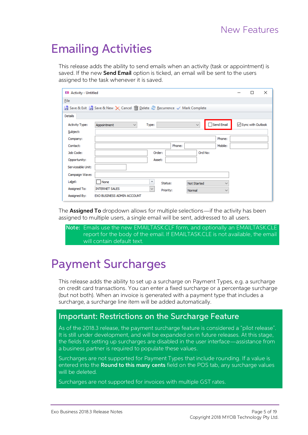## <span id="page-7-3"></span><span id="page-7-0"></span>Emailing Activities

This release adds the ability to send emails when an activity (task or appointment) is saved. If the new **Send Email** option is ticked, an email will be sent to the users assigned to the task whenever it is saved.

| <b>EB</b> Activity - Untitled |                                                                         |                                     |           |                    |         |              | П                             | × |
|-------------------------------|-------------------------------------------------------------------------|-------------------------------------|-----------|--------------------|---------|--------------|-------------------------------|---|
| File                          |                                                                         |                                     |           |                    |         |              |                               |   |
|                               | Save & Exit   Save & New X Cancel   Delete @ Recurrence V Mark Complete |                                     |           |                    |         |              |                               |   |
| Details                       |                                                                         |                                     |           |                    |         |              |                               |   |
| <b>Activity Type:</b>         | Appointment<br>$\checkmark$                                             | Type:                               |           | $\checkmark$       |         | Send Email   | $\sqrt{\ }$ Sync with Outlook |   |
| Subject:                      |                                                                         |                                     |           |                    |         |              |                               |   |
| Company:                      |                                                                         |                                     |           |                    |         | Phone:       |                               |   |
| Contact:                      |                                                                         |                                     | Phone:    |                    |         | Mobile:      |                               |   |
| Job Code:                     |                                                                         | Order:                              |           |                    | Ord No: |              |                               |   |
| Opportunity:                  |                                                                         | Asset:                              |           |                    |         |              |                               |   |
| Serviceable Unit:             |                                                                         |                                     |           |                    |         |              |                               |   |
| Campaign Wave:                |                                                                         |                                     |           |                    |         |              |                               |   |
| Label:                        | None                                                                    | $\overline{\phantom{a}}$<br>Status: |           | <b>Not Started</b> |         | $\checkmark$ |                               |   |
| Assigned To:                  | <b>INTERNET SALES</b>                                                   | $\checkmark$                        | Priority: | Normal             |         | $\checkmark$ |                               |   |
| Assigned By:                  | <b>EXO BUSINESS ADMIN ACCOUNT</b>                                       |                                     |           |                    |         |              |                               |   |

The **Assigned To** dropdown allows for multiple selections—if the activity has been assigned to multiple users, a single email will be sent, addressed to all users.

Note: Emails use the new EMAILTASK.CLF form, and optionally an EMAILTASK.CLE report for the body of the email. If EMAILTASK.CLE is not available, the email will contain default text.

## <span id="page-7-1"></span>Payment Surcharges

This release adds the ability to set up a surcharge on Payment Types, e.g. a surcharge<br>on credit card transactions. You can enter a fixed surcharge or a percentage surcharge<br>(but not both). When an invoice is generated wit

#### <span id="page-7-2"></span>Important: Restrictions on the Surcharge Feature

As of the 2018.3 release, the payment surcharge feature is considered a "pilot release". It is still under development, and will be expanded on in future releases. At this stage,<br>the fields for setting up surcharges are disabled in the user interface—assistance from<br>a business partner is required to populate t

Surcharges are not supported for Payment Types that include rounding. If a value is<br>entered into the **Round to this many cents** field on the POS tab, any surcharge values<br>will be deleted

Surcharges are not supported for invoices with multiple GST rates.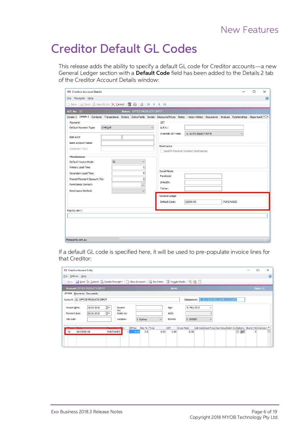## <span id="page-8-0"></span>Creditor Default GL Codes

This release adds the ability to specify a default GL code for Creditor accounts—a new General Ledger section with a **Default Code** field has been added to the Details 2 tab of the Creditor Account Details window:

| <b>EB</b> Creditor Account Details     |                                                                                                                                                            |                  | $\Box$ | $\times$  |
|----------------------------------------|------------------------------------------------------------------------------------------------------------------------------------------------------------|------------------|--------|-----------|
| File Navigate Help                     |                                                                                                                                                            |                  |        | $\bullet$ |
|                                        |                                                                                                                                                            |                  |        |           |
| A/C No: 22                             | Name: OFFICE PRODUCTS DEPOT                                                                                                                                |                  |        |           |
|                                        | Details 1 Details 2 Contacts Transactions Orders Extra Fields Serials Discounts/Prices Notes History Notes Documents Analysis Relationships Opportunit ( ) |                  |        |           |
| Payment                                | <b>GST</b>                                                                                                                                                 |                  |        |           |
| Default Payment Type:<br><b>CHEQUE</b> | $\checkmark$<br>A.B.N.:                                                                                                                                    |                  |        |           |
|                                        | -1. AUTO SELECT RATE<br>Override GST rate:                                                                                                                 |                  |        |           |
| <b>BSB Acc#</b>                        |                                                                                                                                                            |                  |        |           |
| <b>Bank Account Name:</b>              | <b>Remittance</b>                                                                                                                                          |                  |        |           |
| <b>Statement Text:</b>                 | Send M-Powered Payment Remittances                                                                                                                         |                  |        |           |
| Miscellaneous                          |                                                                                                                                                            |                  |        |           |
| Default Invoice Mode:                  | GL.<br>$\checkmark$                                                                                                                                        |                  |        |           |
| Primary Lead Time:                     | 1                                                                                                                                                          |                  |        |           |
| Secondary Lead Time:                   | Social Media<br>0                                                                                                                                          |                  |        |           |
| Prompt Payment Discount (%):           | Facebook:<br>5                                                                                                                                             |                  |        |           |
| <b>Remittance Contact:</b>             | LinkedIn:                                                                                                                                                  |                  |        |           |
|                                        | $\overline{\mathbf{v}}$<br>Twitter:                                                                                                                        |                  |        |           |
| <b>Remittance Method:</b>              | $\checkmark$                                                                                                                                               |                  |        |           |
|                                        | General Ledger                                                                                                                                             |                  |        |           |
|                                        | Default Code:<br>02000-00                                                                                                                                  | <b>PURCHASES</b> |        |           |
| Pop-Up alert:                          |                                                                                                                                                            |                  |        |           |
|                                        |                                                                                                                                                            |                  |        |           |
|                                        |                                                                                                                                                            |                  |        |           |
|                                        |                                                                                                                                                            |                  |        |           |
|                                        |                                                                                                                                                            |                  |        |           |
|                                        |                                                                                                                                                            |                  |        |           |
| Motopartz.com.au                       |                                                                                                                                                            |                  |        |           |

If a default GL code is specified here, it will be used to pre-populate invoice lines for that Creditor:

| <b>EB</b> Creditor Invoice Entry                                                                                                                                                                                                                                 |   | П        | $\times$ |
|------------------------------------------------------------------------------------------------------------------------------------------------------------------------------------------------------------------------------------------------------------------|---|----------|----------|
| File Utilities Help                                                                                                                                                                                                                                              |   |          |          |
| New   Save X Cancel A Goods Receipt > \* \* New Account   B Tax Rates   B Toggle Mode   \\ B   B                                                                                                                                                                 |   |          |          |
| Alert:<br><b>Account: OFFICE PRODUCTS DEPOT</b>                                                                                                                                                                                                                  |   | Mode: GL |          |
| Invoice Payments Documents                                                                                                                                                                                                                                       |   |          |          |
| Salesperson: 8. EXO BUSINESS ADMIN ACCOUNT<br>Account: 22. OFFICE PRODUCTS DEPOT                                                                                                                                                                                 |   |          |          |
| ▥▾<br>0. May 2018<br>Invoice date:<br>10.05.2018<br>Invoice<br>Age:<br>$\checkmark$<br>no:<br>∏▼<br>Payment due:<br>AUD:<br>Order no:<br>20.06.2018                                                                                                              |   |          |          |
| Job code:<br>1. Sydney<br>Location:<br>Branch:<br>0. SYDNEY<br>$\checkmark$<br>$\checkmark$                                                                                                                                                                      |   |          |          |
| Job Code Cost Type Cost Grou Batch Co Options Branch No Analysis ( ^<br>Disc % Total<br>@Price<br><b>GST</b><br><b>Gross Total</b><br><b>The Second Second</b><br>$\cdots$ GST<br><b>PURCHASES</b><br>00-02000-00<br>0.00<br>GL.<br>0.0<br>0.00<br>0.00<br> 0.00 | n |          |          |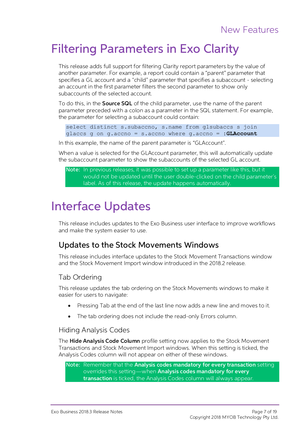## <span id="page-9-0"></span>Filtering Parameters in Exo Clarity

This release adds full support for filtering Clarity report parameters by the value of another parameter. For example, a report could contain a "parent" parameter that specifies a GL account and a "child" parameter that sp

<span id="page-9-3"></span>To do this, in the **Source SQL** of the child parameter, use the name of the parent parameter preceded with a colon as a parameter in the SQL statement. For example, the parameter for selecting a subaccount could contain:

```
select distinct s.subaccno, s.name from glsubaccs s join 
glaccs g on g.accno = s.accno where g.accno = :GLAccount
```
In this example, the name of the parent parameter is "GLAccount".

When a value is selected for the GLAccount parameter, this will automatically update the subaccount parameter to show the subaccounts of the selected GL account.

Note: In previous releases, it was possible to set up a parameter like this, but it would not be updated until the user double-clicked on the child parameter's label. As of this release, the update happens automatically.

## <span id="page-9-1"></span>Interface Updates

This release includes updates to the Exo Business user interface to improve workflows and make the system easier to use.

#### <span id="page-9-2"></span>Updates to the Stock Movements Windows

This release includes interface updates to the Stock Movement Transactions window and the Stock Movement Import window introduced in the 2018.2 release.

#### Tab Ordering

This release updates the tab ordering on the Stock Movements windows to make it easier for users to navigate:

- Pressing Tab at the end of the last line now adds a new line and moves to it.
- The tab ordering does not include the read-only Errors column.

#### Hiding Analysis Codes

The **Hide Analysis Code Column** profile setting now applies to the Stock Movement<br>Transactions and Stock Movement Import windows. When this setting is ticked, the<br>Analysis Codes column will not appear on either of these wi

Note: Remember that the Analysis codes mandatory for every transaction setting<br>overrides this setting—when Analysis codes mandatory for every<br>transaction is ticked, the Analysis Codes column will always appear.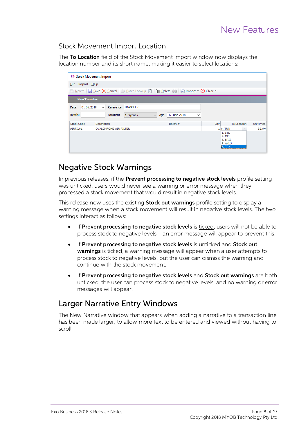#### Stock Movement Import Location

The To Location field of the Stock Movement Import window now displays the location number and its short name, making it easier to select locations:

|                     | <b>EB</b> Stock Movement Import     |                                   |     |                                                  |                        |                   |  |  |  |  |  |
|---------------------|-------------------------------------|-----------------------------------|-----|--------------------------------------------------|------------------------|-------------------|--|--|--|--|--|
|                     | File Import Help                    |                                   |     |                                                  |                        |                   |  |  |  |  |  |
|                     |                                     |                                   |     |                                                  |                        |                   |  |  |  |  |  |
| <b>New Transfer</b> |                                     |                                   |     |                                                  |                        |                   |  |  |  |  |  |
| 01.06.2018<br>Date: | Reference: TRANSFER<br>$\checkmark$ |                                   |     |                                                  |                        |                   |  |  |  |  |  |
| Initials:           | $\vee$<br>Location:<br>1. Sydney    | Age: 1. June 2018<br>$\checkmark$ |     |                                                  |                        |                   |  |  |  |  |  |
| Stock Code          | <b>Description</b>                  | Batch #                           | Qty | To Location                                      |                        | <b>Unit Price</b> |  |  |  |  |  |
| AIRFIL01            | <b>OVALCHROME AIR FILTER</b>        |                                   |     | $1 6$ . TRN                                      | $\overline{\mathbf v}$ | 53.64             |  |  |  |  |  |
|                     |                                     |                                   |     | 1. SYD<br>2. MEL<br>3. BRIS<br>4. AKLD<br>6. TRN |                        |                   |  |  |  |  |  |

#### <span id="page-10-0"></span>Negative Stock Warnings

In previous releases, if the **Prevent processing to negative stock levels** profile setting was unticked, users would never see a warning or error message when they processed a stock movement that would result in negative s

This release now uses the existing **Stock out warnings** profile setting to display a<br>warning message when a stock movement will result in negative stock levels. The two<br>settings interact as follows:

- If Prevent processing to negative stock levels is ticked, users will not be able to process stock to negative levels—an error message will appear to prevent this.
- If Prevent processing to negative stock levels is <u>unticked</u> and **Stock out** warnings is <u>ticked</u>, a warning message will appear when a user attempts to process stock to negative levels, but the user can dismiss the warn
- If Prevent processing to negative stock levels and Stock out warnings are <u>both unticked</u>, the user can process stock to negative levels, and no warning or error messages will appear.

### <span id="page-10-1"></span>Larger Narrative Entry Windows

The New Narrative window that appears when adding a narrative to a transaction line has been made larger, to allow more text to be entered and viewed without having to scroll.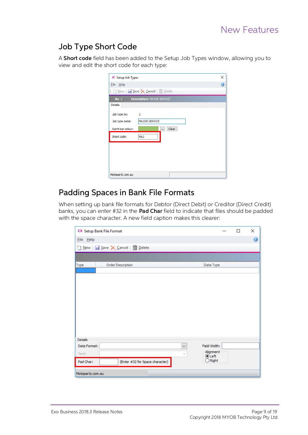### <span id="page-11-0"></span>Job Type Short Code

A **Short code** field has been added to the Setup Job Types window, allowing you to view and edit the short code for each type:

| JC Setup Job Types       |                                   | × |
|--------------------------|-----------------------------------|---|
| File Help                |                                   | A |
| î,                       | New   Save X Cancel   Delete      |   |
| $No: 2$                  | <b>Description: MAJOR SERVICE</b> |   |
| <b>Details</b>           |                                   |   |
| Job type no:<br>$\sim$ 2 |                                   |   |
| Job type name:           | <b>MAJOR SERVICE</b>              |   |
| Gantt bar colour:        | Clear<br>                         |   |
| Short code:              | <b>MAJ</b>                        |   |
|                          |                                   |   |
|                          |                                   |   |
|                          |                                   |   |
|                          |                                   |   |
| Motopartz.com.au         |                                   |   |

### <span id="page-11-1"></span>Padding Spaces in Bank File Formats

When setting up bank file formats for Debtor (Direct Debit) or Creditor (Direct Credit) banks, you can enter #32 in the **Pad Char** field to indicate that files should be padded with the space character. A new field caption

|                  | CX Setup Bank File Format       |              |                           | $\Box$ | ×         |
|------------------|---------------------------------|--------------|---------------------------|--------|-----------|
| $Eile$ $Help$    |                                 |              |                           |        | $\bullet$ |
|                  | New Save X Cancel T Delete      |              |                           |        |           |
|                  |                                 |              |                           |        |           |
|                  |                                 |              |                           |        |           |
| Type             | Order Description               |              | Data Type                 |        |           |
|                  |                                 |              |                           |        |           |
|                  |                                 |              |                           |        |           |
|                  |                                 |              |                           |        |           |
|                  |                                 |              |                           |        |           |
|                  |                                 |              |                           |        |           |
|                  |                                 |              |                           |        |           |
|                  |                                 |              |                           |        |           |
|                  |                                 |              |                           |        |           |
|                  |                                 |              |                           |        |           |
| <b>Details</b>   |                                 |              |                           |        |           |
| Data Format:     |                                 | $\checkmark$ | Field Width:              |        |           |
| Text:            |                                 | $\sim$       | Alignment<br><b></b> Left |        |           |
| Pad Char:        | (Enter #32 for Space character) |              | $\bigcirc$ Right          |        |           |
| Motopartz.com.au |                                 |              |                           |        |           |
|                  |                                 |              |                           |        |           |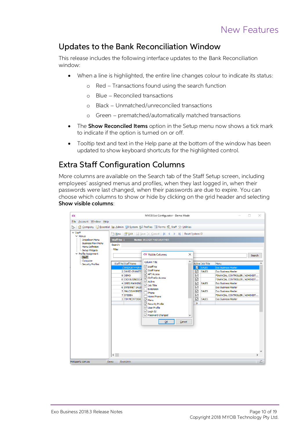#### <span id="page-12-0"></span>Updates to the Bank Reconciliation Window

This release includes the following interface updates to the Bank Reconciliation window:

- When a line is highlighted, the entire line changes colour to indicate its status:
	- o Red Transactions found using the search function
	- $\circ$  Blue Reconciled transactions
	- $\circ$  Black Unmatched/unreconciled transactions
	- o Green prematched/automatically matched transactions
- The **Show Reconciled Items** option in the Setup menu now shows a tick mark to indicate if the option is turned on or off.
- Tooltip text and text in the Help pane at the bottom of the window has been updated to show keyboard shortcuts for the highlighted control.

#### <span id="page-12-1"></span>Extra Staff Configuration Columns

More columns are available on the Search tab of the Staff Setup screen, including<br>employees' assigned menus and profiles, when they last logged in, when their<br>passwords were last changed, when their passwords are due to ex Show visible columns:

| <b>CX</b>                                                                                                                                                                                                 |                                                                                                                                                                                                                                                                                                                          | MYOB Exo Configurator - Demo Mode                                                                                                                                                                                                                                                                                                               |                  |                                                                                                                                                                          |                                                                                                                                                                                                                                                                                                   | п      | ×             |
|-----------------------------------------------------------------------------------------------------------------------------------------------------------------------------------------------------------|--------------------------------------------------------------------------------------------------------------------------------------------------------------------------------------------------------------------------------------------------------------------------------------------------------------------------|-------------------------------------------------------------------------------------------------------------------------------------------------------------------------------------------------------------------------------------------------------------------------------------------------------------------------------------------------|------------------|--------------------------------------------------------------------------------------------------------------------------------------------------------------------------|---------------------------------------------------------------------------------------------------------------------------------------------------------------------------------------------------------------------------------------------------------------------------------------------------|--------|---------------|
| Account Window Help<br><b>File</b>                                                                                                                                                                        |                                                                                                                                                                                                                                                                                                                          |                                                                                                                                                                                                                                                                                                                                                 |                  |                                                                                                                                                                          |                                                                                                                                                                                                                                                                                                   |        |               |
|                                                                                                                                                                                                           |                                                                                                                                                                                                                                                                                                                          |                                                                                                                                                                                                                                                                                                                                                 |                  |                                                                                                                                                                          |                                                                                                                                                                                                                                                                                                   |        |               |
|                                                                                                                                                                                                           |                                                                                                                                                                                                                                                                                                                          |                                                                                                                                                                                                                                                                                                                                                 |                  |                                                                                                                                                                          |                                                                                                                                                                                                                                                                                                   |        |               |
| ř٤.<br>$\times$ Staff<br>$\times$ Menus<br>Dropdown Menu<br><b>Business Flow Menu</b><br>- Menu Definition<br>Setup Widgets<br>$\vee$ Profile Assignment<br><b>Staff</b><br>Computer<br>Security Profiles | Company \ Essential \ Admin \ J System \ Profiles = Forms \ Staff \ Utilities<br><b>Staff No: 1</b><br>Search:<br>Filter<br>Staff No Staff Name<br>1 BRIDGET FAIRV<br>2 DAVID CRANSTO<br>9 DEMO<br>8 EXO BUSINESS A<br><b>4 GREG MANNING</b><br><b>6 INTERNET SALES</b><br>5 MALCOLM BREET<br>7 SYSDBA<br>3 TIM MCINTOSH | Name: BRIDGET FAIRWEATHER<br><b>CX Visible Columns</b><br>Column Title<br>Staff No<br>$\vee$ Staff Name<br>√ API Access<br>OnTheGo Access<br>$\overline{\vee}$ Active<br>$\triangledown$ Job Title<br>Extension<br>Phone<br>Home Phone<br>$\sqrt{}$ Menu<br>Security Profile<br>□ User Profile<br>$\sqrt{ }$ Login Id<br>Password Changed<br>OK | ×<br>Α<br>Cancel | Active Job Title<br>☑<br><b>SALES</b><br><b>SALES</b><br>☑<br>☑<br>☑<br>☑<br><b>SALES</b><br>$\checkmark$<br>☑<br><b>SALES</b><br>☑<br>$\checkmark$<br><b>SALES</b><br>9 | Menu<br><b>Exo Business Master</b><br><b>Exo Business Master</b><br>FINANCIAL CONTROLLER / ADMINIST<br>FINANCIAL CONTROLLER / ADMINIST<br><b>Exo Business Master</b><br><b>Exo Business Master</b><br><b>Exo Business Master</b><br>FINANCIAL CONTROLLER / ADMINIST<br><b>Exo Business Master</b> | Search |               |
|                                                                                                                                                                                                           | $\left\langle \cdot \right\rangle$                                                                                                                                                                                                                                                                                       |                                                                                                                                                                                                                                                                                                                                                 |                  |                                                                                                                                                                          |                                                                                                                                                                                                                                                                                                   |        | $\rightarrow$ |
|                                                                                                                                                                                                           |                                                                                                                                                                                                                                                                                                                          |                                                                                                                                                                                                                                                                                                                                                 |                  |                                                                                                                                                                          |                                                                                                                                                                                                                                                                                                   |        |               |
| Motopartz.com.au                                                                                                                                                                                          | ExoAdmin<br><b>Demo</b>                                                                                                                                                                                                                                                                                                  |                                                                                                                                                                                                                                                                                                                                                 |                  |                                                                                                                                                                          |                                                                                                                                                                                                                                                                                                   |        | 46            |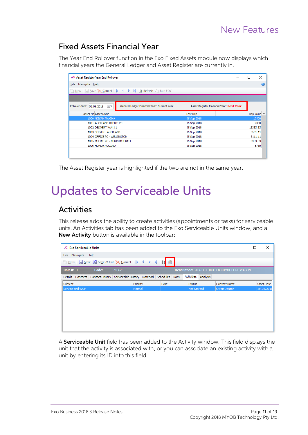### <span id="page-13-0"></span>Fixed Assets Financial Year

The Year End Rollover function in the Exo Fixed Assets module now displays which financial years the General Ledger and Asset Register are currently in.

| <b>AS</b> Asset Register Year End Rollover                                     |                                          | □        | ×         |
|--------------------------------------------------------------------------------|------------------------------------------|----------|-----------|
| File Navigate Help                                                             |                                          |          | 0         |
| New   Save X Cancel   1 4   1   2   Refresh   Run EOY                          |                                          |          |           |
|                                                                                |                                          |          |           |
| ▦▾<br>Rollover date: 05.09.2018<br>General Ledger Financial Year: Current Year | Asset Register Financial Year: Next Year |          |           |
| Asset No Asset Name                                                            | Last Dep                                 |          | Dep Value |
| 1000 NISSAN MAXIMA                                                             | 05 Sep 2018                              |          | 19500     |
| 1001 AUCKLAND OFFICE PC                                                        | 05 Sep 2018                              |          | 2390      |
| 1002 DELIVERY VAN #1                                                           | 05 Sep 2018                              | 13333.33 |           |
| 1003 SERVER - AUCKLAND                                                         | 05 Sep 2018                              | 3551.11  |           |
| 1004 OFFICE PC - WELLINGTON                                                    | 05 Sep 2018                              | 3111.11  |           |
| 1005 OFFICE PC - CHRISTCHURCH                                                  | 05 Sep 2018                              |          | 3333.33   |
| 1006 HONDA ACCORD                                                              | 05 Sep 2018                              |          | 8730      |
|                                                                                |                                          |          |           |
|                                                                                |                                          |          |           |

The Asset Register year is highlighted if the two are not in the same year.

# <span id="page-13-1"></span>Updates to Serviceable Units

### <span id="page-13-2"></span>Activities

This release adds the ability to create activities (appointments or tasks) for serviceable units. An Activities tab has been added to the Exo Serviceable Units window, and a New Activity button is available in the toolbar:

| <b>JC</b> Exo Serviceable Units |       |                                                                             |      |             |          |                                               | $\times$          |
|---------------------------------|-------|-----------------------------------------------------------------------------|------|-------------|----------|-----------------------------------------------|-------------------|
| Eile Navigate Help              |       |                                                                             |      |             |          |                                               |                   |
|                                 |       | <b>Dew F</b> Save <b>F</b> Save & Exit <b>X</b> Cancel   14 4 ▶ 14   [ ]    |      |             |          |                                               |                   |
| Unit $\#: 1$                    | Code: | $SVJ-625$                                                                   |      |             |          | Description: 2006 BLUE HOLDEN COMMODORE WAGON |                   |
|                                 |       | Details Contacts Contact History Serviceable History Notepad Schedules Docs |      | Activities  | Analysis |                                               |                   |
| Subject                         |       | Priority                                                                    | Type | Status      |          | <b>Contact Name</b>                           | <b>Start Date</b> |
| Service and WOF                 |       | Normal                                                                      |      | Not Started |          | Owen Denton                                   | 30.08.2018        |
|                                 |       |                                                                             |      |             |          |                                               |                   |
|                                 |       |                                                                             |      |             |          |                                               |                   |
|                                 |       |                                                                             |      |             |          |                                               |                   |
|                                 |       |                                                                             |      |             |          |                                               |                   |
|                                 |       |                                                                             |      |             |          |                                               |                   |
|                                 |       |                                                                             |      |             |          |                                               |                   |
|                                 |       |                                                                             |      |             |          |                                               |                   |
|                                 |       |                                                                             |      |             |          |                                               |                   |

A **Serviceable Unit** field has been added to the Activity window. This field displays the unit that the activity is associated with, or you can associate an existing activity with a unit by entering its ID into this field.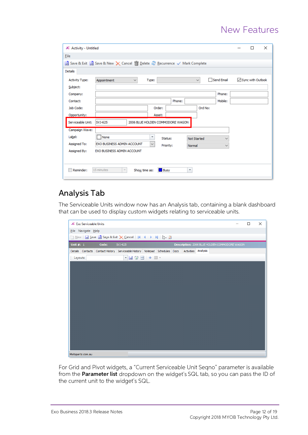| JC Activity - Untitled                                                                      |              |  | п                   | × |  |
|---------------------------------------------------------------------------------------------|--------------|--|---------------------|---|--|
| File                                                                                        |              |  |                     |   |  |
| Save & Exit Save & New X Cancel n Delete & Recurrence √ Mark Complete                       |              |  |                     |   |  |
| <b>Details</b>                                                                              |              |  |                     |   |  |
| Send Email<br><b>Activity Type:</b><br>Type:<br>Appointment<br>$\checkmark$<br>$\checkmark$ |              |  | ○ Sync with Outlook |   |  |
| Subject:                                                                                    |              |  |                     |   |  |
| Phone:<br>Company:                                                                          |              |  |                     |   |  |
| Mobile:<br>Phone:<br>Contact:                                                               |              |  |                     |   |  |
| Ord No:<br>Job Code:<br>Order:                                                              |              |  |                     |   |  |
| Opportunity:<br>Asset:                                                                      |              |  |                     |   |  |
| Serviceable Unit:<br>SVJ-625<br>2006 BLUE HOLDEN COMMODORE WAGON                            |              |  |                     |   |  |
| Campaign Wave:                                                                              |              |  |                     |   |  |
| Label:<br>None<br>$\overline{\mathbf v}$<br>Status:<br><b>Not Started</b>                   | $\checkmark$ |  |                     |   |  |
| Assigned To:<br>EXO BUSINESS ADMIN ACCOUNT<br>$\checkmark$<br>Priority:<br>Normal           | $\checkmark$ |  |                     |   |  |
| Assigned By:<br>EXO BUSINESS ADMIN ACCOUNT                                                  |              |  |                     |   |  |
|                                                                                             |              |  |                     |   |  |
| 15 minutes<br><b>Busy</b><br>$\overline{\mathbf v}$<br>Reminder:<br>Show time as:           |              |  |                     |   |  |

### <span id="page-14-0"></span>Analysis Tab

The Serviceable Units window now has an Analysis tab, containing a blank dashboard that can be used to display custom widgets relating to serviceable units.



For Grid and Pivot widgets, a "Current Serviceable Unit Seqno" parameter is available from the Parameter list dropdown on the widget's SQL tab, so you can pass the ID of the current unit to the widget's SQL.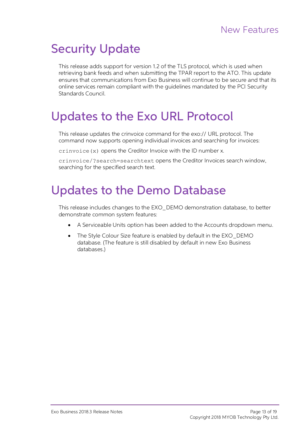# <span id="page-15-0"></span>Security Update

This release adds support for version 1.2 of the TLS protocol, which is used when<br>retrieving bank feeds and when submitting the TPAR report to the ATO. This update<br>ensures that communications from Exo Business will continu

## <span id="page-15-1"></span>Updates to the Exo URL Protocol

This release updates the crinvoice command for the exo:// URL protocol. The command now supports opening individual invoices and searching for invoices:

crinvoice(x) opens the Creditor Invoice with the ID number x.

crinvoice/?search=searchtext opens the Creditor Invoices search window, searching for the specified search text.

## <span id="page-15-2"></span>Updates to the Demo Database

This release includes changes to the EXO\_DEMO demonstration database, to better demonstrate common system features:

- A Serviceable Units option has been added to the Accounts dropdown menu.
- The Style Colour Size feature is enabled by default in the EXO\_DEMO database. (The feature is still disabled by default in new Exo Business databases.)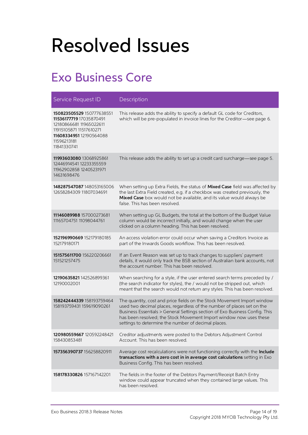# <span id="page-16-0"></span>Resolved Issues

## <span id="page-16-1"></span>Exo Business Core

| Service Request ID                                                                                                                                                  | Description                                                                                                                                                                                                                                                                                                                                                   |
|---------------------------------------------------------------------------------------------------------------------------------------------------------------------|---------------------------------------------------------------------------------------------------------------------------------------------------------------------------------------------------------------------------------------------------------------------------------------------------------------------------------------------------------------|
| 150823505529 150777638551<br>11536177719 17035870491<br>12180866681 11965022611<br>11915105871 11517610271<br>11608334951 12190564088<br>11596213181<br>11841330741 | This release adds the ability to specify a default GL code for Creditors,<br>which will be pre-populated in invoice lines for the Creditor-see page 6.                                                                                                                                                                                                        |
| 11993603080 13068925861<br>12446914541 12233355559<br>11962902858 12405231971<br>14631698476                                                                        | This release adds the ability to set up a credit card surcharge-see page 5.                                                                                                                                                                                                                                                                                   |
| 148287547087 148053165006<br>12658284309 11807034691                                                                                                                | When setting up Extra Fields, the status of Mixed Case field was affected by<br>the last Extra Field created, e.g. if a checkbox was created previously, the<br>Mixed Case box would not be available, and its value would always be<br>false. This has been resolved.                                                                                        |
| 11146089988 157000273681<br>11165704751 11098044761                                                                                                                 | When setting up GL Budgets, the total at the bottom of the Budget Value<br>column would be incorrect initially, and would change when the user<br>clicked on a column heading. This has been resolved.                                                                                                                                                        |
| <b>152196990669</b> 152179180185<br>152179180171                                                                                                                    | An access violation error could occur when saving a Creditors Invoice as<br>part of the Inwards Goods workflow. This has been resolved.                                                                                                                                                                                                                       |
| 151575611700 156220206661<br>151521257475                                                                                                                           | If an Event Reason was set up to track changes to suppliers' payment<br>details, it would only track the BSB section of Australian bank accounts, not<br>the account number. This has been resolved.                                                                                                                                                          |
| 12190635821 142526899361<br>12190002001                                                                                                                             | When searching for a style, if the user entered search terms preceded by /<br>(the search indicator for styles), the / would not be stripped out, which<br>meant that the search would not return any styles. This has been resolved.                                                                                                                         |
| 158242444339 158193759464<br>158193759431 159619090261                                                                                                              | The quantity, cost and price fields on the Stock Movement Import window<br>used two decimal places, regardless of the number of places set on the<br>Business Essentials > General Settings section of Exo Business Config. This<br>has been resolved; the Stock Movement Import window now uses these<br>settings to determine the number of decimal places. |
| <b>120980559667</b> 120592248421<br>158430853481                                                                                                                    | Creditor adjustments were posted to the Debtors Adjustment Control<br>Account. This has been resolved.                                                                                                                                                                                                                                                        |
| 157356390737 156258820911                                                                                                                                           | Average cost recalculations were not functioning correctly with the Include<br>transactions with a zero cost in in average cost calculations setting in Exo<br>Business Config. This has been resolved.                                                                                                                                                       |
| 158178330826 157167142201                                                                                                                                           | The fields in the footer of the Debtors Payment/Receipt Batch Entry<br>window could appear truncated when they contained large values. This<br>has been resolved.                                                                                                                                                                                             |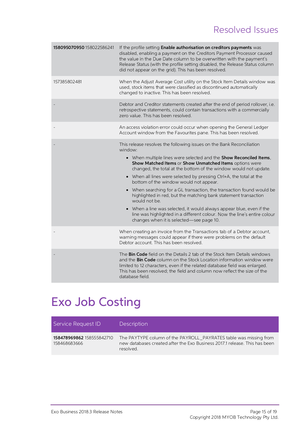## Resolved Issues

| 158095070950 158022586241 | If the profile setting Enable authorisation on creditors payments was<br>disabled, enabling a payment on the Creditors Payment Processor caused<br>the value in the Due Date column to be overwritten with the payment's<br>Release Status (with the profile setting disabled, the Release Status column<br>did not appear on the grid). This has been resolved.                                                                                                                                                                                                                                                                                                                                                                                                    |
|---------------------------|---------------------------------------------------------------------------------------------------------------------------------------------------------------------------------------------------------------------------------------------------------------------------------------------------------------------------------------------------------------------------------------------------------------------------------------------------------------------------------------------------------------------------------------------------------------------------------------------------------------------------------------------------------------------------------------------------------------------------------------------------------------------|
| 157385802481              | When the Adjust Average Cost utility on the Stock Item Details window was<br>used, stock items that were classified as discontinued automatically<br>changed to inactive. This has been resolved.                                                                                                                                                                                                                                                                                                                                                                                                                                                                                                                                                                   |
|                           | Debtor and Creditor statements created after the end of period rollover, i.e.<br>retrospective statements, could contain transactions with a commercially<br>zero value. This has been resolved.                                                                                                                                                                                                                                                                                                                                                                                                                                                                                                                                                                    |
|                           | An access violation error could occur when opening the General Ledger<br>Account window from the Favourites pane. This has been resolved.                                                                                                                                                                                                                                                                                                                                                                                                                                                                                                                                                                                                                           |
|                           | This release resolves the following issues on the Bank Reconciliation<br>window:<br>• When multiple lines were selected and the Show Reconciled Items,<br>Show Matched Items or Show Unmatched Items options were<br>changed, the total at the bottom of the window would not update.<br>• When all lines were selected by pressing Ctrl+A, the total at the<br>bottom of the window would not appear.<br>• When searching for a GL transaction, the transaction found would be<br>highlighted in red, but the matching bank statement transaction<br>would not be.<br>• When a line was selected, it would always appear blue, even if the<br>line was highlighted in a different colour. Now the line's entire colour<br>changes when it is selected-see page 10. |
|                           | When creating an invoice from the Transactions tab of a Debtor account,<br>warning messages could appear if there were problems on the default<br>Debtor account. This has been resolved.                                                                                                                                                                                                                                                                                                                                                                                                                                                                                                                                                                           |
|                           | The Bin Code field on the Details 2 tab of the Stock Item Details windows<br>and the <b>Bin Code</b> column on the Stock Location information window were<br>limited to 12 characters, even if the related database field was enlarged.<br>This has been resolved; the field and column now reflect the size of the<br>database field.                                                                                                                                                                                                                                                                                                                                                                                                                              |
|                           |                                                                                                                                                                                                                                                                                                                                                                                                                                                                                                                                                                                                                                                                                                                                                                     |

## <span id="page-17-0"></span>Exo Job Costing

| Service Request ID                        | Description                                                                                                                                                  |
|-------------------------------------------|--------------------------------------------------------------------------------------------------------------------------------------------------------------|
| 158478969862 158555842710<br>158468683666 | The PAYTYPE column of the PAYROLL PAYRATES table was missing from<br>new databases created after the Exo Business 2017.1 release. This has been<br>resolved. |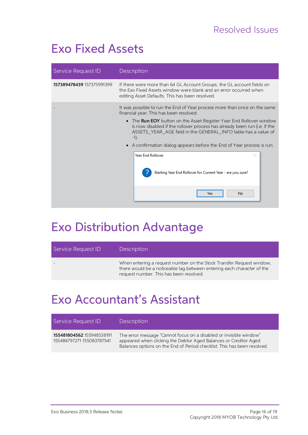## <span id="page-18-0"></span>Exo Fixed Assets

| Service Request ID        | Description                                                                                                                                                                                                                                                                                                                                                                                                                                                                                                                                    |  |  |  |
|---------------------------|------------------------------------------------------------------------------------------------------------------------------------------------------------------------------------------------------------------------------------------------------------------------------------------------------------------------------------------------------------------------------------------------------------------------------------------------------------------------------------------------------------------------------------------------|--|--|--|
| 157389478439 157375991399 | If there were more than 64 GL Account Groups, the GL account fields on<br>the Exo Fixed Assets window were blank and an error occurred when<br>editing Asset Defaults. This has been resolved.                                                                                                                                                                                                                                                                                                                                                 |  |  |  |
|                           | It was possible to run the End of Year process more than once on the same<br>financial year. This has been resolved:<br>• The <b>Run EOY</b> button on the Asset Register Year End Rollover window<br>is now disabled if the rollover process has already been run (i.e. if the<br>ASSETS_YEAR_AGE field in the GENERAL_INFO table has a value of<br>$-1$ ).<br>• A confirmation dialog appears before the End of Year process is run:<br><b>Year End Rollover</b><br>Starting Year End Rollover for Current Year - are you sure?<br>No<br>Yes |  |  |  |

## <span id="page-18-1"></span>Exo Distribution Advantage

| Service Request ID | Description                                                                                                                                                                               |
|--------------------|-------------------------------------------------------------------------------------------------------------------------------------------------------------------------------------------|
|                    | When entering a request number on the Stock Transfer Request window.<br>there would be a noticeable lag between entering each character of the<br>request number. This has been resolved. |

## <span id="page-18-2"></span>Exo Accountant's Assistant

| Service Request ID                                     | Description                                                                                                                                                                                                        |
|--------------------------------------------------------|--------------------------------------------------------------------------------------------------------------------------------------------------------------------------------------------------------------------|
| 155481804562 155948538191<br>155484797271 155083787541 | The error message "Cannot focus on a disabled or invisible window"<br>appeared when clicking the Debtor Aged Balances or Creditor Aged<br>Balances options on the End of Period checklist. This has been resolved. |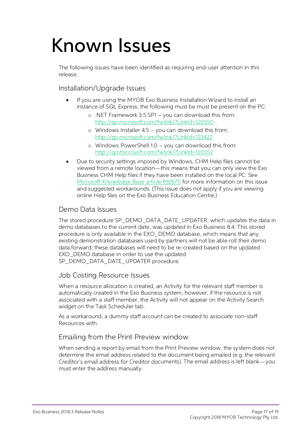# <span id="page-19-0"></span>Known Issues

The following issues have been identified as requiring end-user attention in this release.

Installation/Upgrade Issues

- If you are using the MYOB Exo Business Installation Wizard to install an instance of SQL Express, the following must be must be present on the PC:
	- $\circ$  .NET Framework 3.5 SP1 you can download this from: <http://go.microsoft.com/fwlink/?LinkId=120550>
	- o Windows Installer  $4.5 -$  you can download this from: <http://go.microsoft.com/fwlink/?LinkId=123422>
	- $\circ$  Windows PowerShell 1.0 you can download this from: <http://go.microsoft.com/fwlink/?LinkId=120552>
- Due to security settings imposed by Windows, CHM Help files cannot be viewed from a remote location—this means that you can only view the Exo Business CHM Help files if they have been installed on the local PC. See Microsoft Knowledge Base article 892675 for more information on this issue and suggested workarounds. (This issue does not apply if you are viewing o

#### Demo Data Issues

The stored procedure SP\_DEMO\_DATA\_DATE\_UPDATER, which updates the data in<br>demo databases to the current date, was updated in Exo Business 8.4. This stored<br>procedure is only available in the EXO\_DEMO database, which means t SP\_DEMO\_DATA\_DATE\_UPDATER procedure.

#### Job Costing Resource Issues

When a resource allocation is created, an Activity for the relevant staff member is automatically created in the Exo Business system; however, if the resource is not associated with a staff member, the Activity will not ap

As a workaround, a dummy staff account can be created to associate non-staff Resources with.

#### Emailing from the Print Preview window

When sending a report by email from the Print Preview window, the system does not determine the email address related to the document being emailed (e.g. the relevant Creditor's email address for Creditor documents). The e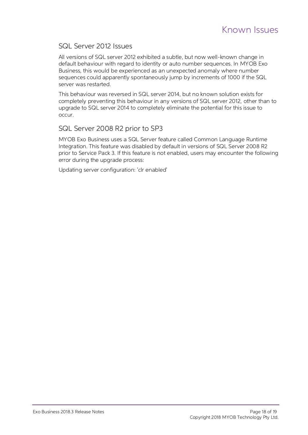#### SQL Server 2012 Issues

All versions of SQL server 2012 exhibited a subtle, but now well-known change in default behaviour with regard to identity or auto number sequences. In MYOB Exo Business, this would be experienced as an unexpected anomaly where number sequences could apparently spontaneously jump by increments of 1000 if the SQL server was restarted.

This behaviour was reversed in SQL server 2014, but no known solution exists for<br>completely preventing this behaviour in any versions of SQL server 2012, other than to<br>upgrade to SQL server 2014 to completely eliminate the

#### SQL Server 2008 R2 prior to SP3

MYOB Exo Business uses a SQL Server feature called Common Language Runtime Integration. This feature was disabled by default in versions of SQL Server 2008 R2 prior to Service Pack 3. If this feature is not enabled, users

Updating server configuration: 'clr enabled'